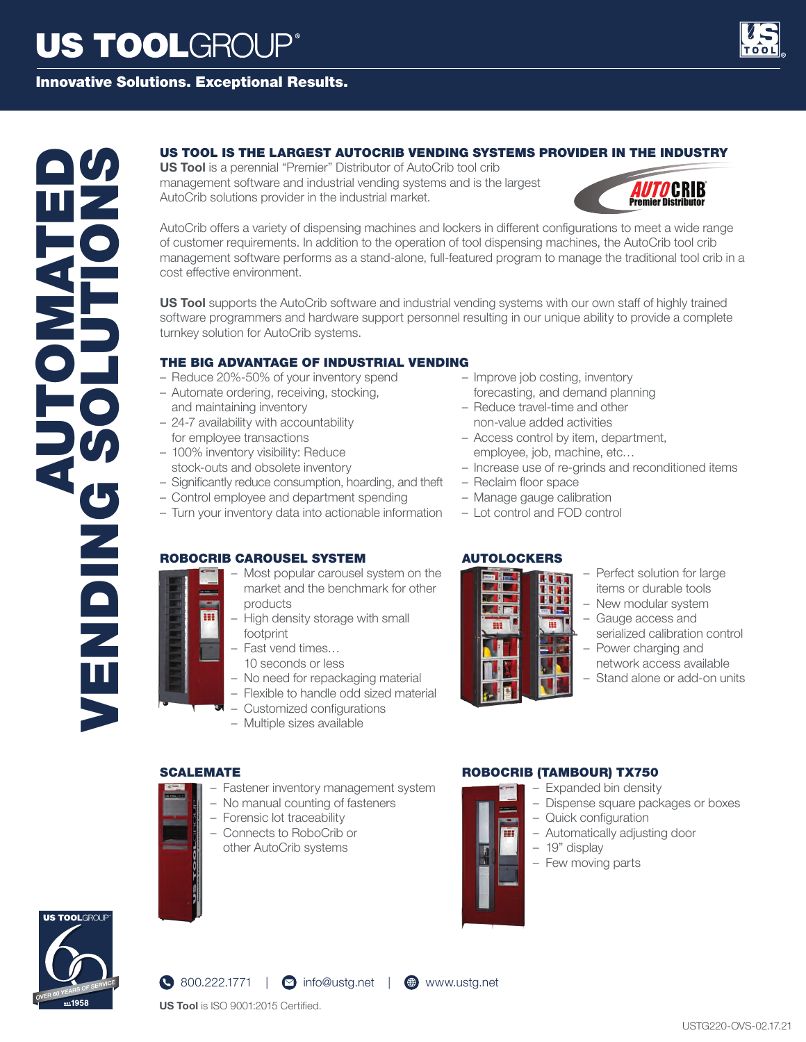# **US TOOLGROUP®**

# Innovative Solutions. Exceptional Results.



# US TOOL IS THE LARGEST AUTOCRIB VENDING SYSTEMS PROVIDER IN THE INDUSTRY<br>
MANCO: b alone on the state of the state of the state of the state of the state of the state of the state of the state of the state of the state of

**US Tool** is a perennial "Premier" Distributor of AutoCrib tool crib management software and industrial vending systems and is the largest AutoCrib solutions provider in the industrial market.



AutoCrib offers a variety of dispensing machines and lockers in different configurations to meet a wide range of customer requirements. In addition to the operation of tool dispensing machines, the AutoCrib tool crib management software performs as a stand-alone, full-featured program to manage the traditional tool crib in a cost effective environment.

**US Tool** supports the AutoCrib software and industrial vending systems with our own staff of highly trained software programmers and hardware support personnel resulting in our unique ability to provide a complete turnkey solution for AutoCrib systems.

# THE BIG ADVANTAGE OF INDUSTRIAL VENDING

- Reduce 20%-50% of your inventory spend
- Automate ordering, receiving, stocking, and maintaining inventory
- 24-7 availability with accountability for employee transactions
- 100% inventory visibility: Reduce stock-outs and obsolete inventory
- Significantly reduce consumption, hoarding, and theft
- Control employee and department spending
- Turn your inventory data into actionable information

# ROBOCRIB CAROUSEL SYSTEM

- Most popular carousel system on the market and the benchmark for other products
- High density storage with small footprint
- Fast vend times…
	- 10 seconds or less
	- No need for repackaging material
	- Flexible to handle odd sized material
	- Customized configurations
	- Multiple sizes available

# SCALEMATE

- Fastener inventory management system
- No manual counting of fasteners
- Forensic lot traceability
- Connects to RoboCrib or other AutoCrib systems
- Improve job costing, inventory forecasting, and demand planning
- Reduce travel-time and other
- non-value added activities – Access control by item, department,
- employee, job, machine, etc…
- Increase use of re-grinds and reconditioned items
- Reclaim floor space
- Manage gauge calibration
- Lot control and FOD control

# AUTOLOCKERS



- Perfect solution for large items or durable tools
- New modular system
- Gauge access and
- serialized calibration control – Power charging and
- network access available
- Stand alone or add-on units





**US Tool** is ISO 9001:2015 Certified.

- ROBOCRIB (TAMBOUR) TX750
	- Expanded bin density – Dispense square packages or boxes
	- Quick configuration
	- Automatically adjusting door
	- 19" display
	- Few moving parts